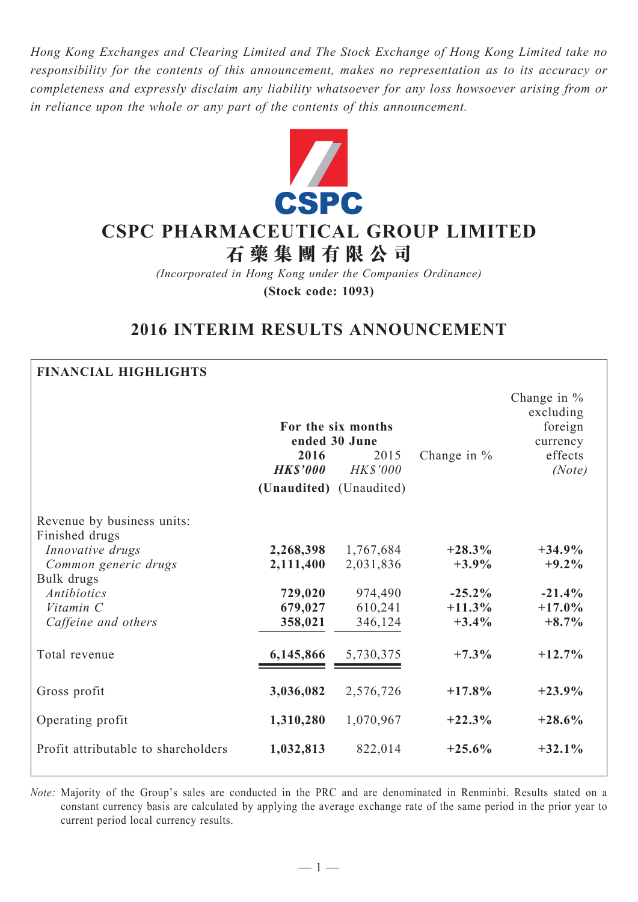*Hong Kong Exchanges and Clearing Limited and The Stock Exchange of Hong Kong Limited take no responsibility for the contents of this announcement, makes no representation as to its accuracy or completeness and expressly disclaim any liability whatsoever for any loss howsoever arising from or in reliance upon the whole or any part of the contents of this announcement.*



# **CSPC Pharmaceutical Group Limited**

**石 藥 集 團 有 限 公 司**

*(Incorporated in Hong Kong under the Companies Ordinance)* **(Stock code: 1093)**

# **2016 INTERIM RESULTS ANNOUNCEMENT**

# **Financial Highlights**

|                                              | 2016<br><b>HK\$'000</b><br>(Unaudited) (Unaudited) | For the six months<br>ended 30 June<br>2015<br><b>HK\$'000</b> | Change in $%$ | Change in $%$<br>excluding<br>foreign<br>currency<br>effects<br>(Note) |
|----------------------------------------------|----------------------------------------------------|----------------------------------------------------------------|---------------|------------------------------------------------------------------------|
| Revenue by business units:<br>Finished drugs |                                                    |                                                                |               |                                                                        |
| Innovative drugs                             | 2,268,398                                          | 1,767,684                                                      | $+28.3\%$     | $+34.9%$                                                               |
| Common generic drugs                         | 2,111,400                                          | 2,031,836                                                      | $+3.9\%$      | $+9.2\%$                                                               |
| Bulk drugs                                   |                                                    |                                                                |               |                                                                        |
| <b>Antibiotics</b>                           | 729,020                                            | 974,490                                                        | $-25.2\%$     | $-21.4%$                                                               |
| Vitamin C                                    | 679,027                                            | 610,241                                                        | $+11.3%$      | $+17.0%$                                                               |
| Caffeine and others                          | 358,021                                            | 346,124                                                        | $+3.4%$       | $+8.7%$                                                                |
| Total revenue                                | 6,145,866                                          | 5,730,375                                                      | $+7.3\%$      | $+12.7%$                                                               |
| Gross profit                                 | 3,036,082                                          | 2,576,726                                                      | $+17.8%$      | $+23.9%$                                                               |
| Operating profit                             | 1,310,280                                          | 1,070,967                                                      | $+22.3%$      | $+28.6%$                                                               |
| Profit attributable to shareholders          | 1,032,813                                          | 822,014                                                        | $+25.6%$      | $+32.1%$                                                               |

*Note:* Majority of the Group's sales are conducted in the PRC and are denominated in Renminbi. Results stated on a constant currency basis are calculated by applying the average exchange rate of the same period in the prior year to current period local currency results.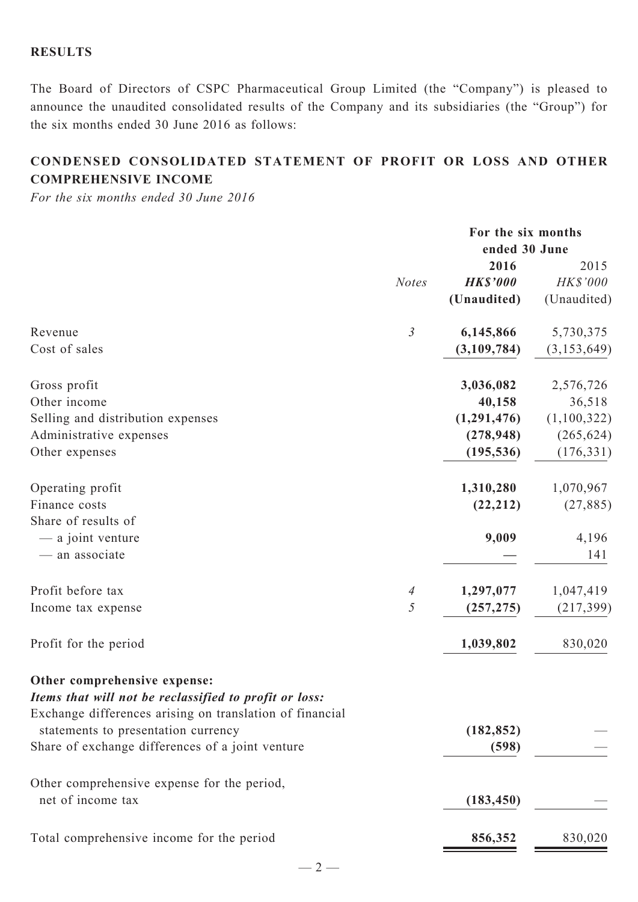# **Results**

The Board of Directors of CSPC Pharmaceutical Group Limited (the "Company") is pleased to announce the unaudited consolidated results of the Company and its subsidiaries (the "Group") for the six months ended 30 June 2016 as follows:

# **CONDENSED CONSOLIDATED STATEMENT OF PROFIT OR LOSS AND OTHER COMPREHENSIVE INCOME**

*For the six months ended 30 June 2016*

|                                                                                                                                                                                           |                | For the six months<br>ended 30 June |               |
|-------------------------------------------------------------------------------------------------------------------------------------------------------------------------------------------|----------------|-------------------------------------|---------------|
|                                                                                                                                                                                           |                | 2016                                | 2015          |
|                                                                                                                                                                                           | <b>Notes</b>   | <b>HK\$'000</b>                     | HK\$'000      |
|                                                                                                                                                                                           |                | (Unaudited)                         | (Unaudited)   |
| Revenue                                                                                                                                                                                   | $\mathfrak{Z}$ | 6,145,866                           | 5,730,375     |
| Cost of sales                                                                                                                                                                             |                | (3,109,784)                         | (3, 153, 649) |
| Gross profit                                                                                                                                                                              |                | 3,036,082                           | 2,576,726     |
| Other income                                                                                                                                                                              |                | 40,158                              | 36,518        |
| Selling and distribution expenses                                                                                                                                                         |                | (1,291,476)                         | (1,100,322)   |
| Administrative expenses                                                                                                                                                                   |                | (278, 948)                          | (265, 624)    |
| Other expenses                                                                                                                                                                            |                | (195, 536)                          | (176, 331)    |
| Operating profit                                                                                                                                                                          |                | 1,310,280                           | 1,070,967     |
| Finance costs                                                                                                                                                                             |                | (22, 212)                           | (27, 885)     |
| Share of results of                                                                                                                                                                       |                |                                     |               |
| — a joint venture                                                                                                                                                                         |                | 9,009                               | 4,196         |
| - an associate                                                                                                                                                                            |                |                                     | 141           |
| Profit before tax                                                                                                                                                                         | $\overline{A}$ | 1,297,077                           | 1,047,419     |
| Income tax expense                                                                                                                                                                        | 5              | (257, 275)                          | (217, 399)    |
| Profit for the period                                                                                                                                                                     |                | 1,039,802                           | 830,020       |
| Other comprehensive expense:<br>Items that will not be reclassified to profit or loss:<br>Exchange differences arising on translation of financial<br>statements to presentation currency |                | (182, 852)                          |               |
| Share of exchange differences of a joint venture                                                                                                                                          |                | (598)                               |               |
|                                                                                                                                                                                           |                |                                     |               |
| Other comprehensive expense for the period,                                                                                                                                               |                |                                     |               |
| net of income tax                                                                                                                                                                         |                | (183, 450)                          |               |
| Total comprehensive income for the period                                                                                                                                                 |                | 856,352                             | 830,020       |

 $-2-$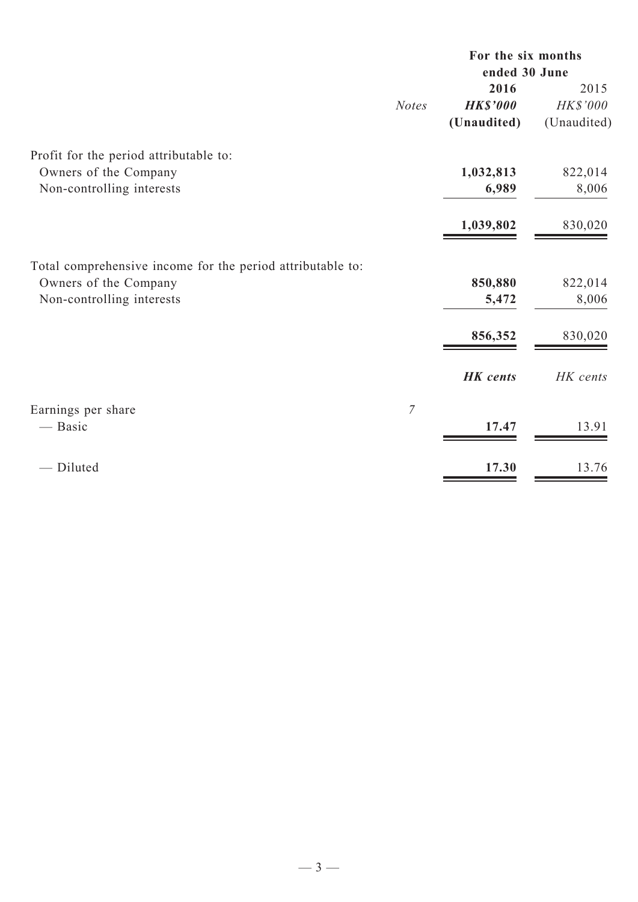|                                                            |              | For the six months |             |  |  |
|------------------------------------------------------------|--------------|--------------------|-------------|--|--|
|                                                            |              | ended 30 June      |             |  |  |
|                                                            |              | 2016               | 2015        |  |  |
|                                                            | <b>Notes</b> | <b>HK\$'000</b>    | HK\$'000    |  |  |
|                                                            |              | (Unaudited)        | (Unaudited) |  |  |
| Profit for the period attributable to:                     |              |                    |             |  |  |
| Owners of the Company                                      |              | 1,032,813          | 822,014     |  |  |
| Non-controlling interests                                  |              | 6,989              | 8,006       |  |  |
|                                                            |              | 1,039,802          | 830,020     |  |  |
| Total comprehensive income for the period attributable to: |              |                    |             |  |  |
| Owners of the Company                                      |              | 850,880            | 822,014     |  |  |
| Non-controlling interests                                  |              | 5,472              | 8,006       |  |  |
|                                                            |              | 856,352            | 830,020     |  |  |
|                                                            |              |                    |             |  |  |
|                                                            |              | <b>HK</b> cents    | HK cents    |  |  |
| Earnings per share                                         | $\mathcal I$ |                    |             |  |  |
| — Basic                                                    |              | 17.47              | 13.91       |  |  |
| - Diluted                                                  |              | 17.30              | 13.76       |  |  |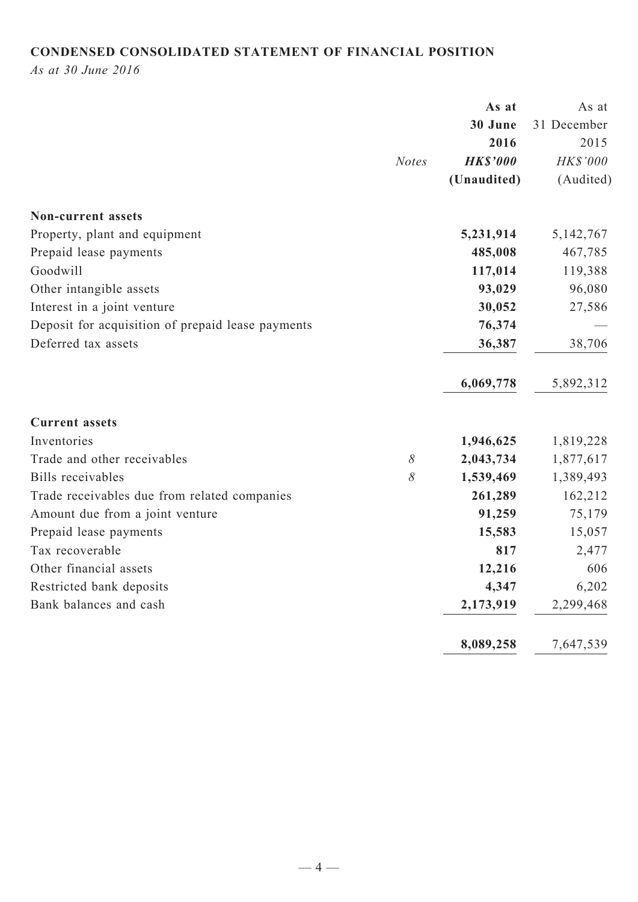# **CONDENSED CONSOLIDATED STATEMENT OF FINANCIAL POSITION**

*As at 30 June 2016*

|                                                   | As at           | As at       |
|---------------------------------------------------|-----------------|-------------|
|                                                   | 30 June         | 31 December |
|                                                   | 2016            | 2015        |
| <b>Notes</b>                                      | <b>HK\$'000</b> | HK\$'000    |
|                                                   | (Unaudited)     | (Audited)   |
| <b>Non-current assets</b>                         |                 |             |
| Property, plant and equipment                     | 5,231,914       | 5, 142, 767 |
| Prepaid lease payments                            | 485,008         | 467,785     |
| Goodwill                                          | 117,014         | 119,388     |
| Other intangible assets                           | 93,029          | 96,080      |
| Interest in a joint venture                       | 30,052          | 27,586      |
| Deposit for acquisition of prepaid lease payments | 76,374          |             |
| Deferred tax assets                               | 36,387          | 38,706      |
|                                                   | 6,069,778       | 5,892,312   |
| <b>Current assets</b>                             |                 |             |
| Inventories                                       | 1,946,625       | 1,819,228   |
| $\delta$<br>Trade and other receivables           | 2,043,734       | 1,877,617   |
| 8<br>Bills receivables                            | 1,539,469       | 1,389,493   |
| Trade receivables due from related companies      | 261,289         | 162,212     |
| Amount due from a joint venture                   | 91,259          | 75,179      |
| Prepaid lease payments                            | 15,583          | 15,057      |
| Tax recoverable                                   | 817             | 2,477       |
| Other financial assets                            | 12,216          | 606         |
| Restricted bank deposits                          | 4,347           | 6,202       |
| Bank balances and cash                            | 2,173,919       | 2,299,468   |
|                                                   | 8,089,258       | 7,647,539   |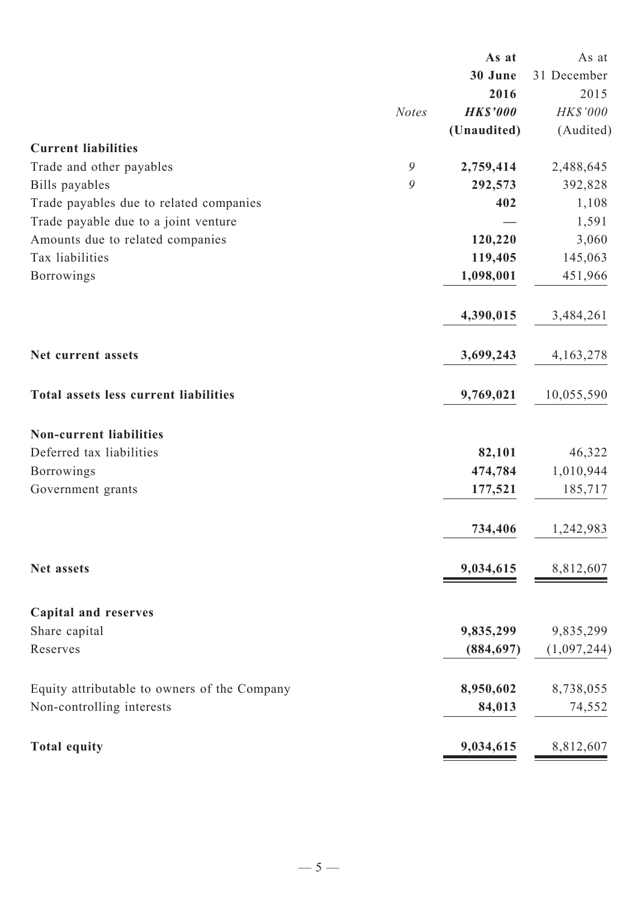|                                              | As at           | As at       |
|----------------------------------------------|-----------------|-------------|
|                                              | 30 June         | 31 December |
|                                              | 2016            | 2015        |
| <b>Notes</b>                                 | <b>HK\$'000</b> | HK\$'000    |
|                                              | (Unaudited)     | (Audited)   |
| <b>Current liabilities</b>                   |                 |             |
| $\mathcal{G}$<br>Trade and other payables    | 2,759,414       | 2,488,645   |
| 9<br>Bills payables                          | 292,573         | 392,828     |
| Trade payables due to related companies      | 402             | 1,108       |
| Trade payable due to a joint venture         |                 | 1,591       |
| Amounts due to related companies             | 120,220         | 3,060       |
| Tax liabilities                              | 119,405         | 145,063     |
| <b>Borrowings</b>                            | 1,098,001       | 451,966     |
|                                              | 4,390,015       | 3,484,261   |
| Net current assets                           | 3,699,243       | 4, 163, 278 |
| Total assets less current liabilities        | 9,769,021       | 10,055,590  |
| <b>Non-current liabilities</b>               |                 |             |
| Deferred tax liabilities                     | 82,101          | 46,322      |
| <b>Borrowings</b>                            | 474,784         | 1,010,944   |
| Government grants                            | 177,521         | 185,717     |
|                                              | 734,406         | 1,242,983   |
| Net assets                                   | 9,034,615       | 8,812,607   |
| <b>Capital and reserves</b>                  |                 |             |
| Share capital                                | 9,835,299       | 9,835,299   |
| Reserves                                     | (884, 697)      | (1,097,244) |
| Equity attributable to owners of the Company | 8,950,602       | 8,738,055   |
| Non-controlling interests                    | 84,013          | 74,552      |
| <b>Total equity</b>                          | 9,034,615       | 8,812,607   |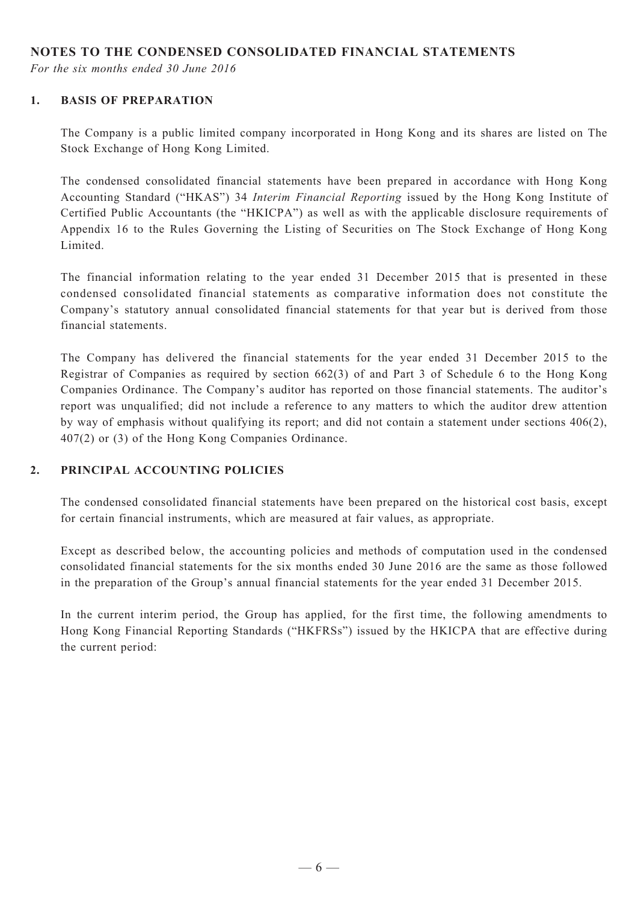#### **NOTES TO THE CONDENSED CONSOLIDATED FINANCIAL STATEMENTS**

*For the six months ended 30 June 2016*

#### **1. BASIS OF PREPARATION**

The Company is a public limited company incorporated in Hong Kong and its shares are listed on The Stock Exchange of Hong Kong Limited.

The condensed consolidated financial statements have been prepared in accordance with Hong Kong Accounting Standard ("HKAS") 34 *Interim Financial Reporting* issued by the Hong Kong Institute of Certified Public Accountants (the "HKICPA") as well as with the applicable disclosure requirements of Appendix 16 to the Rules Governing the Listing of Securities on The Stock Exchange of Hong Kong Limited.

The financial information relating to the year ended 31 December 2015 that is presented in these condensed consolidated financial statements as comparative information does not constitute the Company's statutory annual consolidated financial statements for that year but is derived from those financial statements.

The Company has delivered the financial statements for the year ended 31 December 2015 to the Registrar of Companies as required by section 662(3) of and Part 3 of Schedule 6 to the Hong Kong Companies Ordinance. The Company's auditor has reported on those financial statements. The auditor's report was unqualified; did not include a reference to any matters to which the auditor drew attention by way of emphasis without qualifying its report; and did not contain a statement under sections 406(2), 407(2) or (3) of the Hong Kong Companies Ordinance.

#### **2. PRINCIPAL ACCOUNTING POLICIES**

The condensed consolidated financial statements have been prepared on the historical cost basis, except for certain financial instruments, which are measured at fair values, as appropriate.

Except as described below, the accounting policies and methods of computation used in the condensed consolidated financial statements for the six months ended 30 June 2016 are the same as those followed in the preparation of the Group's annual financial statements for the year ended 31 December 2015.

In the current interim period, the Group has applied, for the first time, the following amendments to Hong Kong Financial Reporting Standards ("HKFRSs") issued by the HKICPA that are effective during the current period: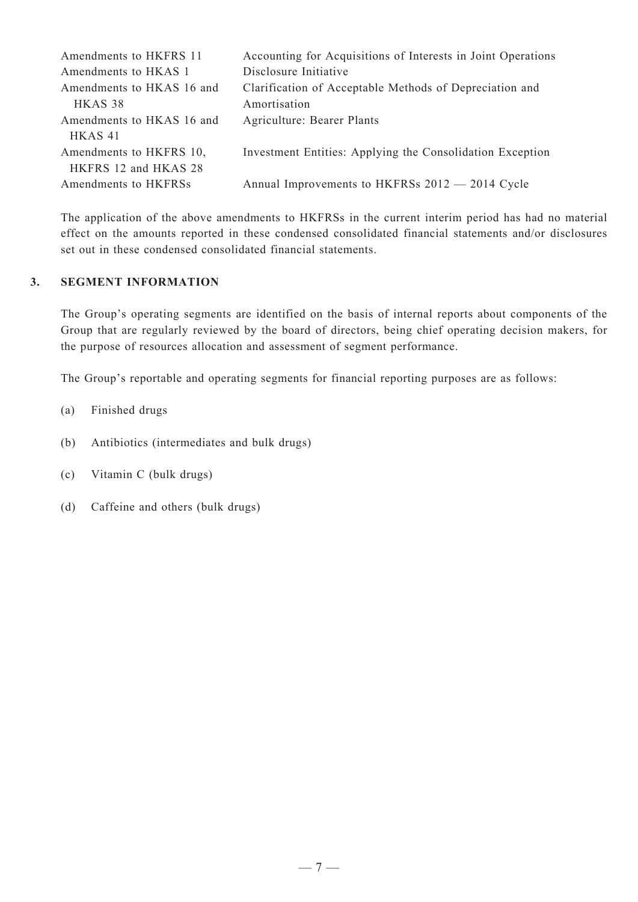| Amendments to HKFRS 11    | Accounting for Acquisitions of Interests in Joint Operations |
|---------------------------|--------------------------------------------------------------|
| Amendments to HKAS 1      | Disclosure Initiative                                        |
| Amendments to HKAS 16 and | Clarification of Acceptable Methods of Depreciation and      |
| HKAS 38                   | Amortisation                                                 |
| Amendments to HKAS 16 and | Agriculture: Bearer Plants                                   |
| HKAS <sub>41</sub>        |                                                              |
| Amendments to HKFRS 10,   | Investment Entities: Applying the Consolidation Exception    |
| HKFRS 12 and HKAS 28      |                                                              |
| Amendments to HKFRSs      | Annual Improvements to HKFRSs 2012 - 2014 Cycle              |

The application of the above amendments to HKFRSs in the current interim period has had no material effect on the amounts reported in these condensed consolidated financial statements and/or disclosures set out in these condensed consolidated financial statements.

#### **3. SEGMENT INFORMATION**

The Group's operating segments are identified on the basis of internal reports about components of the Group that are regularly reviewed by the board of directors, being chief operating decision makers, for the purpose of resources allocation and assessment of segment performance.

The Group's reportable and operating segments for financial reporting purposes are as follows:

- (a) Finished drugs
- (b) Antibiotics (intermediates and bulk drugs)
- (c) Vitamin C (bulk drugs)
- (d) Caffeine and others (bulk drugs)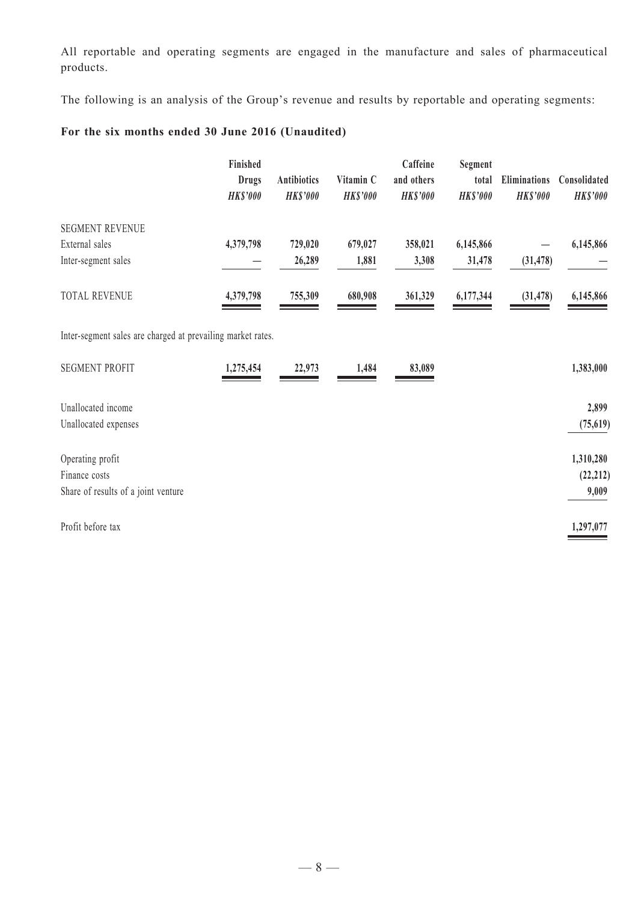All reportable and operating segments are engaged in the manufacture and sales of pharmaceutical products.

The following is an analysis of the Group's revenue and results by reportable and operating segments:

# **For the six months ended 30 June 2016 (Unaudited)**

|                                                             | Finished<br><b>Drugs</b><br><b>HK\$'000</b> | Antibiotics<br><b>HK\$'000</b> | Vitamin C<br><b>HK\$'000</b> | Caffeine<br>and others<br><b>HK\$'000</b> | Segment<br>total<br><b>HK\$'000</b> | Eliminations<br><b>HK\$'000</b> | Consolidated<br><b>HK\$'000</b> |
|-------------------------------------------------------------|---------------------------------------------|--------------------------------|------------------------------|-------------------------------------------|-------------------------------------|---------------------------------|---------------------------------|
| <b>SEGMENT REVENUE</b><br>External sales                    |                                             | 729,020                        |                              |                                           |                                     |                                 |                                 |
| Inter-segment sales                                         | 4,379,798                                   | 26,289                         | 679,027<br>1,881             | 358,021<br>3,308                          | 6,145,866<br>31,478                 | (31, 478)                       | 6,145,866                       |
| TOTAL REVENUE                                               | 4,379,798                                   | 755,309                        | 680,908                      | 361,329                                   | 6,177,344                           | (31, 478)                       | 6,145,866                       |
| Inter-segment sales are charged at prevailing market rates. |                                             |                                |                              |                                           |                                     |                                 |                                 |
| <b>SEGMENT PROFIT</b>                                       | 1,275,454                                   | 22,973                         | 1,484                        | 83,089                                    |                                     |                                 | 1,383,000                       |
| Unallocated income<br>Unallocated expenses                  |                                             |                                |                              |                                           |                                     |                                 | 2,899<br>(75, 619)              |
| Operating profit<br>Finance costs                           |                                             |                                |                              |                                           |                                     |                                 | 1,310,280<br>(22, 212)          |
| Share of results of a joint venture                         |                                             |                                |                              |                                           |                                     |                                 | 9,009                           |
| Profit before tax                                           |                                             |                                |                              |                                           |                                     |                                 | 1,297,077                       |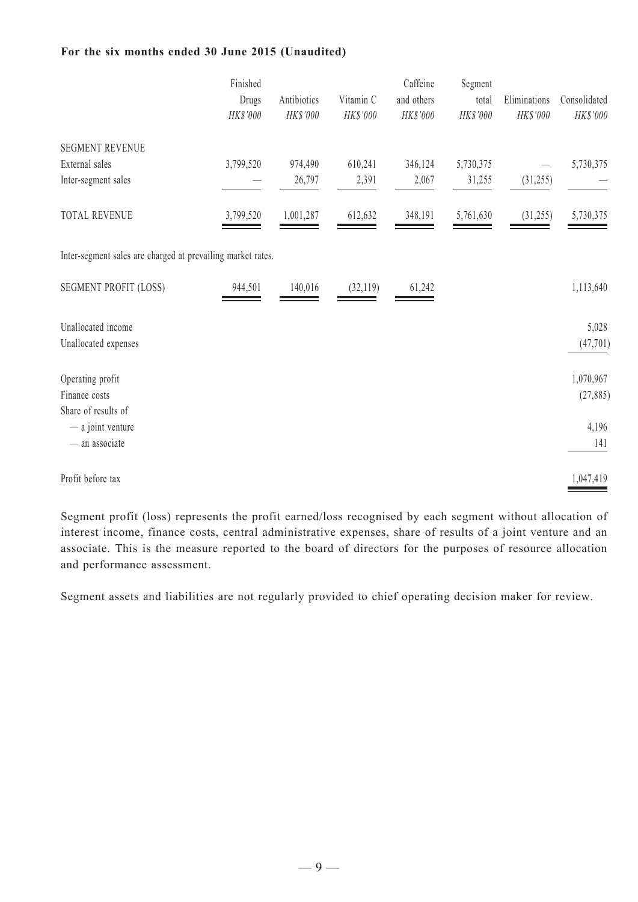#### **For the six months ended 30 June 2015 (Unaudited)**

|                                                             | Finished<br>Drugs<br>$HK\$ '000 | Antibiotics<br>HK\$'000 | Vitamin C<br>HK\$'000 | Caffeine<br>and others<br>HK\$'000 | Segment<br>total<br>HK\$'000 | Eliminations<br>HK\$'000 | Consolidated<br>$HK\$ '000 |
|-------------------------------------------------------------|---------------------------------|-------------------------|-----------------------|------------------------------------|------------------------------|--------------------------|----------------------------|
| <b>SEGMENT REVENUE</b>                                      |                                 |                         |                       |                                    |                              |                          |                            |
| External sales                                              | 3,799,520                       | 974,490                 | 610,241               | 346,124                            | 5,730,375                    |                          | 5,730,375                  |
| Inter-segment sales                                         |                                 | 26,797                  | 2,391                 | 2,067                              | 31,255                       | (31,255)                 |                            |
| <b>TOTAL REVENUE</b>                                        | 3,799,520                       | 1,001,287               | 612,632               | 348,191                            | 5,761,630                    | (31,255)                 | 5,730,375                  |
| Inter-segment sales are charged at prevailing market rates. |                                 |                         |                       |                                    |                              |                          |                            |
| <b>SEGMENT PROFIT (LOSS)</b>                                | 944,501                         | 140,016                 | (32, 119)             | 61,242                             |                              |                          | 1,113,640                  |
| Unallocated income                                          |                                 |                         |                       |                                    |                              |                          | 5,028                      |
| Unallocated expenses                                        |                                 |                         |                       |                                    |                              |                          | (47, 701)                  |
| Operating profit                                            |                                 |                         |                       |                                    |                              |                          | 1,070,967                  |
| Finance costs<br>Share of results of                        |                                 |                         |                       |                                    |                              |                          | (27, 885)                  |
| - a joint venture                                           |                                 |                         |                       |                                    |                              |                          | 4,196                      |
| - an associate                                              |                                 |                         |                       |                                    |                              |                          | 141                        |
| Profit before tax                                           |                                 |                         |                       |                                    |                              |                          | 1,047,419                  |

Segment profit (loss) represents the profit earned/loss recognised by each segment without allocation of interest income, finance costs, central administrative expenses, share of results of a joint venture and an associate. This is the measure reported to the board of directors for the purposes of resource allocation and performance assessment.

Segment assets and liabilities are not regularly provided to chief operating decision maker for review.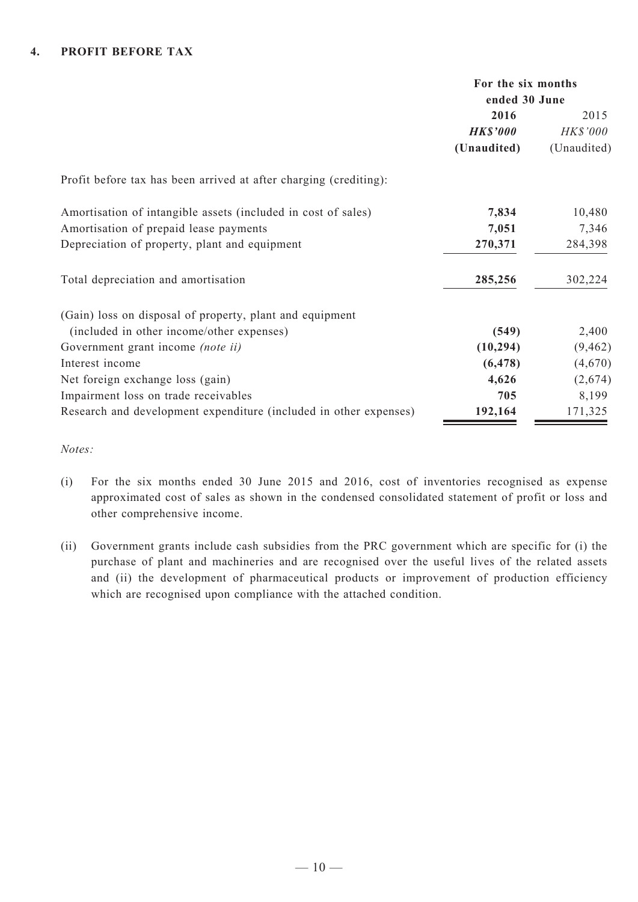#### **4. PROFIT BEFORE TAX**

|                                                                   |                 | For the six months |  |  |
|-------------------------------------------------------------------|-----------------|--------------------|--|--|
|                                                                   | ended 30 June   |                    |  |  |
|                                                                   | 2016            | 2015               |  |  |
|                                                                   | <b>HK\$'000</b> | HK\$'000           |  |  |
|                                                                   | (Unaudited)     | (Unaudited)        |  |  |
| Profit before tax has been arrived at after charging (crediting): |                 |                    |  |  |
| Amortisation of intangible assets (included in cost of sales)     | 7,834           | 10,480             |  |  |
| Amortisation of prepaid lease payments                            | 7,051           | 7,346              |  |  |
| Depreciation of property, plant and equipment                     | 270,371         | 284,398            |  |  |
| Total depreciation and amortisation                               | 285,256         | 302,224            |  |  |
| (Gain) loss on disposal of property, plant and equipment          |                 |                    |  |  |
| (included in other income/other expenses)                         | (549)           | 2,400              |  |  |
| Government grant income (note ii)                                 | (10, 294)       | (9, 462)           |  |  |
| Interest income                                                   | (6, 478)        | (4,670)            |  |  |
| Net foreign exchange loss (gain)                                  | 4,626           | (2,674)            |  |  |
| Impairment loss on trade receivables                              | 705             | 8,199              |  |  |
| Research and development expenditure (included in other expenses) | 192,164         | 171,325            |  |  |

*Notes:*

- (i) For the six months ended 30 June 2015 and 2016, cost of inventories recognised as expense approximated cost of sales as shown in the condensed consolidated statement of profit or loss and other comprehensive income.
- (ii) Government grants include cash subsidies from the PRC government which are specific for (i) the purchase of plant and machineries and are recognised over the useful lives of the related assets and (ii) the development of pharmaceutical products or improvement of production efficiency which are recognised upon compliance with the attached condition.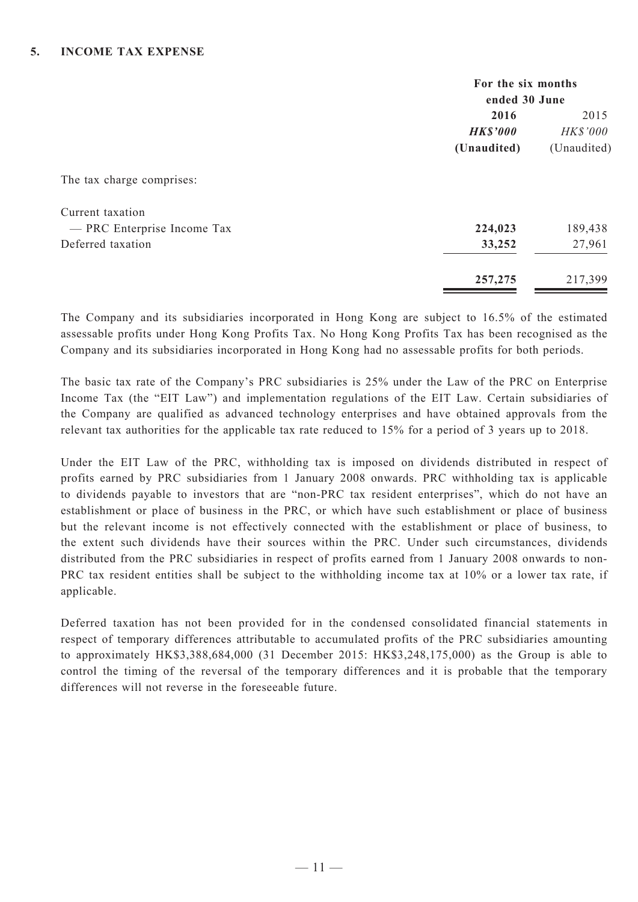|                             | For the six months<br>ended 30 June |             |  |
|-----------------------------|-------------------------------------|-------------|--|
|                             | 2016                                | 2015        |  |
|                             | <b>HK\$'000</b>                     | HK\$'000    |  |
|                             | (Unaudited)                         | (Unaudited) |  |
| The tax charge comprises:   |                                     |             |  |
| Current taxation            |                                     |             |  |
| - PRC Enterprise Income Tax | 224,023                             | 189,438     |  |
| Deferred taxation           | 33,252                              | 27,961      |  |
|                             | 257,275                             | 217,399     |  |

The Company and its subsidiaries incorporated in Hong Kong are subject to 16.5% of the estimated assessable profits under Hong Kong Profits Tax. No Hong Kong Profits Tax has been recognised as the Company and its subsidiaries incorporated in Hong Kong had no assessable profits for both periods.

The basic tax rate of the Company's PRC subsidiaries is 25% under the Law of the PRC on Enterprise Income Tax (the "EIT Law") and implementation regulations of the EIT Law. Certain subsidiaries of the Company are qualified as advanced technology enterprises and have obtained approvals from the relevant tax authorities for the applicable tax rate reduced to 15% for a period of 3 years up to 2018.

Under the EIT Law of the PRC, withholding tax is imposed on dividends distributed in respect of profits earned by PRC subsidiaries from 1 January 2008 onwards. PRC withholding tax is applicable to dividends payable to investors that are "non-PRC tax resident enterprises", which do not have an establishment or place of business in the PRC, or which have such establishment or place of business but the relevant income is not effectively connected with the establishment or place of business, to the extent such dividends have their sources within the PRC. Under such circumstances, dividends distributed from the PRC subsidiaries in respect of profits earned from 1 January 2008 onwards to non-PRC tax resident entities shall be subject to the withholding income tax at 10% or a lower tax rate, if applicable.

Deferred taxation has not been provided for in the condensed consolidated financial statements in respect of temporary differences attributable to accumulated profits of the PRC subsidiaries amounting to approximately HK\$3,388,684,000 (31 December 2015: HK\$3,248,175,000) as the Group is able to control the timing of the reversal of the temporary differences and it is probable that the temporary differences will not reverse in the foreseeable future.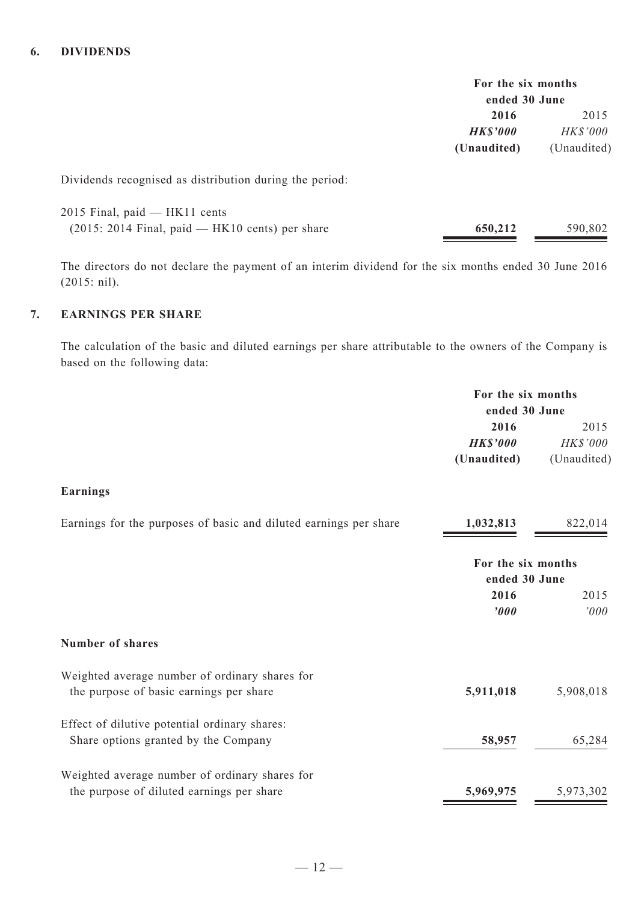|                 | For the six months<br>ended 30 June |
|-----------------|-------------------------------------|
| 2016            | 2015                                |
| <b>HK\$'000</b> | <i>HK\$'000</i>                     |
| (Unaudited)     | (Unaudited)                         |

Dividends recognised as distribution during the period:

| 2015 Final, paid — HK11 cents                     |         |         |
|---------------------------------------------------|---------|---------|
| $(2015: 2014$ Final, paid — HK10 cents) per share | 650,212 | 590,802 |

The directors do not declare the payment of an interim dividend for the six months ended 30 June 2016 (2015: nil).

# **7. EARNINGS PER SHARE**

The calculation of the basic and diluted earnings per share attributable to the owners of the Company is based on the following data:

| ended 30 June<br>2016<br>2015<br><b>HK\$'000</b><br>HK\$'000<br>(Unaudited)<br>(Unaudited)<br><b>Earnings</b><br>Earnings for the purposes of basic and diluted earnings per share<br>1,032,813<br>822,014<br>For the six months<br>ended 30 June<br>2016<br>2015<br>'000<br>'000<br><b>Number of shares</b><br>Weighted average number of ordinary shares for<br>5,911,018<br>5,908,018<br>the purpose of basic earnings per share<br>Effect of dilutive potential ordinary shares:<br>Share options granted by the Company<br>58,957<br>65,284<br>Weighted average number of ordinary shares for<br>5,969,975<br>the purpose of diluted earnings per share<br>5,973,302 | For the six months |  |
|---------------------------------------------------------------------------------------------------------------------------------------------------------------------------------------------------------------------------------------------------------------------------------------------------------------------------------------------------------------------------------------------------------------------------------------------------------------------------------------------------------------------------------------------------------------------------------------------------------------------------------------------------------------------------|--------------------|--|
|                                                                                                                                                                                                                                                                                                                                                                                                                                                                                                                                                                                                                                                                           |                    |  |
|                                                                                                                                                                                                                                                                                                                                                                                                                                                                                                                                                                                                                                                                           |                    |  |
|                                                                                                                                                                                                                                                                                                                                                                                                                                                                                                                                                                                                                                                                           |                    |  |
|                                                                                                                                                                                                                                                                                                                                                                                                                                                                                                                                                                                                                                                                           |                    |  |
|                                                                                                                                                                                                                                                                                                                                                                                                                                                                                                                                                                                                                                                                           |                    |  |
|                                                                                                                                                                                                                                                                                                                                                                                                                                                                                                                                                                                                                                                                           |                    |  |
|                                                                                                                                                                                                                                                                                                                                                                                                                                                                                                                                                                                                                                                                           |                    |  |
|                                                                                                                                                                                                                                                                                                                                                                                                                                                                                                                                                                                                                                                                           |                    |  |
|                                                                                                                                                                                                                                                                                                                                                                                                                                                                                                                                                                                                                                                                           |                    |  |
|                                                                                                                                                                                                                                                                                                                                                                                                                                                                                                                                                                                                                                                                           |                    |  |
|                                                                                                                                                                                                                                                                                                                                                                                                                                                                                                                                                                                                                                                                           |                    |  |
|                                                                                                                                                                                                                                                                                                                                                                                                                                                                                                                                                                                                                                                                           |                    |  |
|                                                                                                                                                                                                                                                                                                                                                                                                                                                                                                                                                                                                                                                                           |                    |  |
|                                                                                                                                                                                                                                                                                                                                                                                                                                                                                                                                                                                                                                                                           |                    |  |
|                                                                                                                                                                                                                                                                                                                                                                                                                                                                                                                                                                                                                                                                           |                    |  |
|                                                                                                                                                                                                                                                                                                                                                                                                                                                                                                                                                                                                                                                                           |                    |  |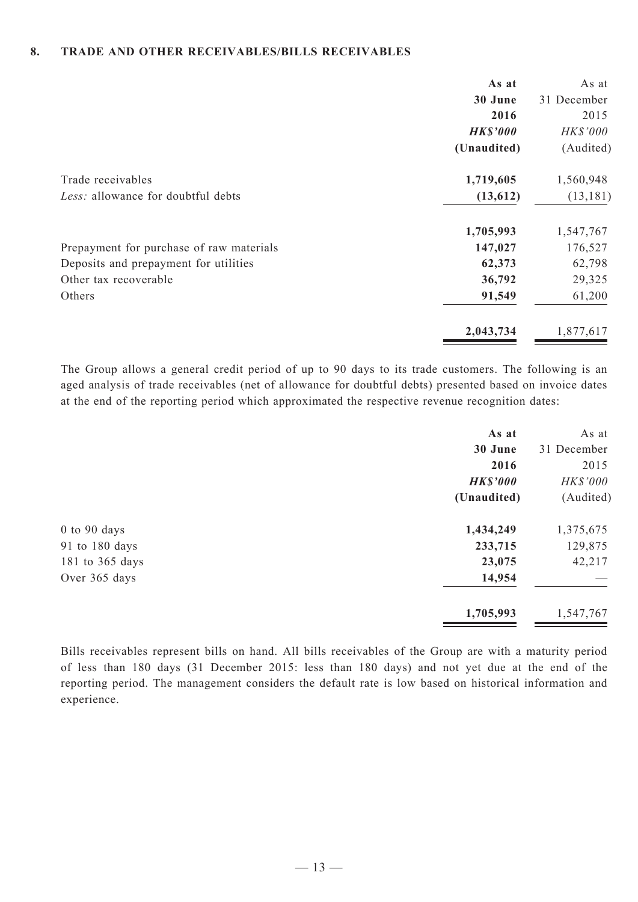#### **8. TRADE AND OTHER RECEIVABLES/BILLS RECEIVABLES**

|                                          | As at           | As at       |
|------------------------------------------|-----------------|-------------|
|                                          | 30 June         | 31 December |
|                                          | 2016            | 2015        |
|                                          | <b>HK\$'000</b> | HK\$'000    |
|                                          | (Unaudited)     | (Audited)   |
| Trade receivables                        | 1,719,605       | 1,560,948   |
| Less: allowance for doubtful debts       | (13,612)        | (13, 181)   |
|                                          | 1,705,993       | 1,547,767   |
| Prepayment for purchase of raw materials | 147,027         | 176,527     |
| Deposits and prepayment for utilities    | 62,373          | 62,798      |
| Other tax recoverable                    | 36,792          | 29,325      |
| Others                                   | 91,549          | 61,200      |
|                                          | 2,043,734       | 1,877,617   |

The Group allows a general credit period of up to 90 days to its trade customers. The following is an aged analysis of trade receivables (net of allowance for doubtful debts) presented based on invoice dates at the end of the reporting period which approximated the respective revenue recognition dates:

|                  | As at           | As at       |
|------------------|-----------------|-------------|
|                  | 30 June         | 31 December |
|                  | 2016            | 2015        |
|                  | <b>HK\$'000</b> | HK\$'000    |
|                  | (Unaudited)     | (Audited)   |
| $0$ to $90$ days | 1,434,249       | 1,375,675   |
| 91 to 180 days   | 233,715         | 129,875     |
| 181 to 365 days  | 23,075          | 42,217      |
| Over 365 days    | 14,954          |             |
|                  | 1,705,993       | 1,547,767   |

Bills receivables represent bills on hand. All bills receivables of the Group are with a maturity period of less than 180 days (31 December 2015: less than 180 days) and not yet due at the end of the reporting period. The management considers the default rate is low based on historical information and experience.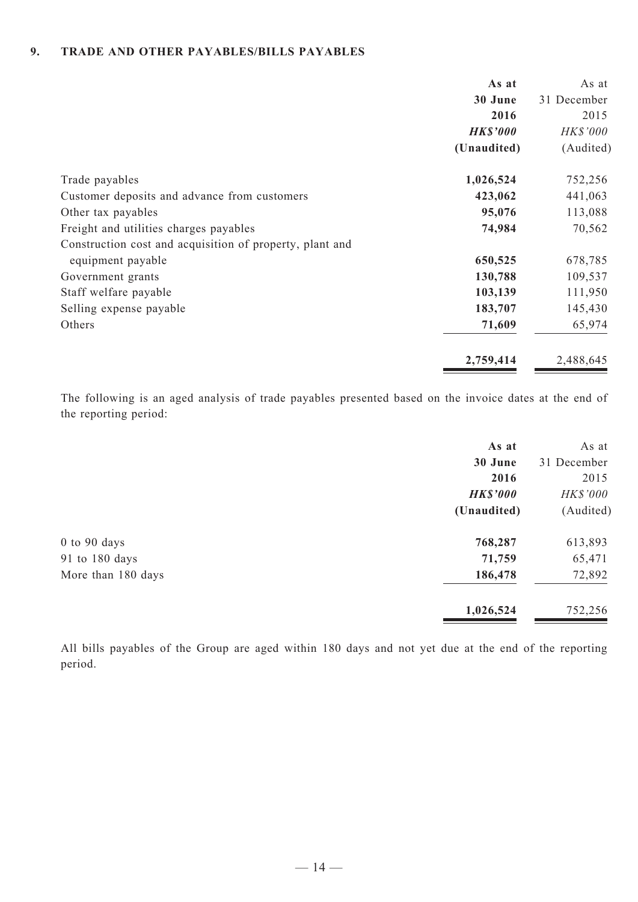#### **9. TRADE AND OTHER PAYABLES/BILLS PAYABLES**

|                                                          | As at           | As at       |
|----------------------------------------------------------|-----------------|-------------|
|                                                          | 30 June         | 31 December |
|                                                          | 2016            | 2015        |
|                                                          | <b>HK\$'000</b> | HK\$'000    |
|                                                          | (Unaudited)     | (Audited)   |
| Trade payables                                           | 1,026,524       | 752,256     |
| Customer deposits and advance from customers             | 423,062         | 441,063     |
| Other tax payables                                       | 95,076          | 113,088     |
| Freight and utilities charges payables                   | 74,984          | 70,562      |
| Construction cost and acquisition of property, plant and |                 |             |
| equipment payable                                        | 650,525         | 678,785     |
| Government grants                                        | 130,788         | 109,537     |
| Staff welfare payable                                    | 103,139         | 111,950     |
| Selling expense payable                                  | 183,707         | 145,430     |
| Others                                                   | 71,609          | 65,974      |
|                                                          | 2,759,414       | 2,488,645   |

The following is an aged analysis of trade payables presented based on the invoice dates at the end of the reporting period:

|                    | As at           | As at       |
|--------------------|-----------------|-------------|
|                    | 30 June         | 31 December |
|                    | 2016            | 2015        |
|                    | <b>HK\$'000</b> | HK\$'000    |
|                    | (Unaudited)     | (Audited)   |
| $0$ to $90$ days   | 768,287         | 613,893     |
| 91 to 180 days     | 71,759          | 65,471      |
| More than 180 days | 186,478         | 72,892      |
|                    | 1,026,524       | 752,256     |

All bills payables of the Group are aged within 180 days and not yet due at the end of the reporting period.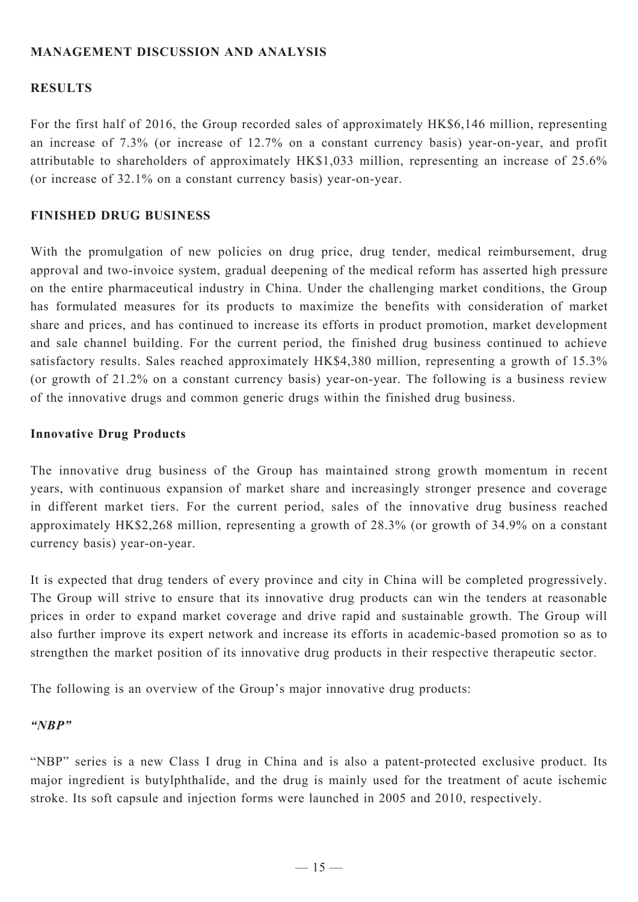# **MANAGEMENT DISCUSSION AND ANALYSIS**

# **RESULTS**

For the first half of 2016, the Group recorded sales of approximately HK\$6,146 million, representing an increase of 7.3% (or increase of 12.7% on a constant currency basis) year-on-year, and profit attributable to shareholders of approximately HK\$1,033 million, representing an increase of 25.6% (or increase of 32.1% on a constant currency basis) year-on-year.

# **FINISHED DRUG BUSINESS**

With the promulgation of new policies on drug price, drug tender, medical reimbursement, drug approval and two-invoice system, gradual deepening of the medical reform has asserted high pressure on the entire pharmaceutical industry in China. Under the challenging market conditions, the Group has formulated measures for its products to maximize the benefits with consideration of market share and prices, and has continued to increase its efforts in product promotion, market development and sale channel building. For the current period, the finished drug business continued to achieve satisfactory results. Sales reached approximately HK\$4,380 million, representing a growth of 15.3% (or growth of 21.2% on a constant currency basis) year-on-year. The following is a business review of the innovative drugs and common generic drugs within the finished drug business.

# **Innovative Drug Products**

The innovative drug business of the Group has maintained strong growth momentum in recent years, with continuous expansion of market share and increasingly stronger presence and coverage in different market tiers. For the current period, sales of the innovative drug business reached approximately HK\$2,268 million, representing a growth of 28.3% (or growth of 34.9% on a constant currency basis) year-on-year.

It is expected that drug tenders of every province and city in China will be completed progressively. The Group will strive to ensure that its innovative drug products can win the tenders at reasonable prices in order to expand market coverage and drive rapid and sustainable growth. The Group will also further improve its expert network and increase its efforts in academic-based promotion so as to strengthen the market position of its innovative drug products in their respective therapeutic sector.

The following is an overview of the Group's major innovative drug products:

# *"NBP"*

"NBP" series is a new Class I drug in China and is also a patent-protected exclusive product. Its major ingredient is butylphthalide, and the drug is mainly used for the treatment of acute ischemic stroke. Its soft capsule and injection forms were launched in 2005 and 2010, respectively.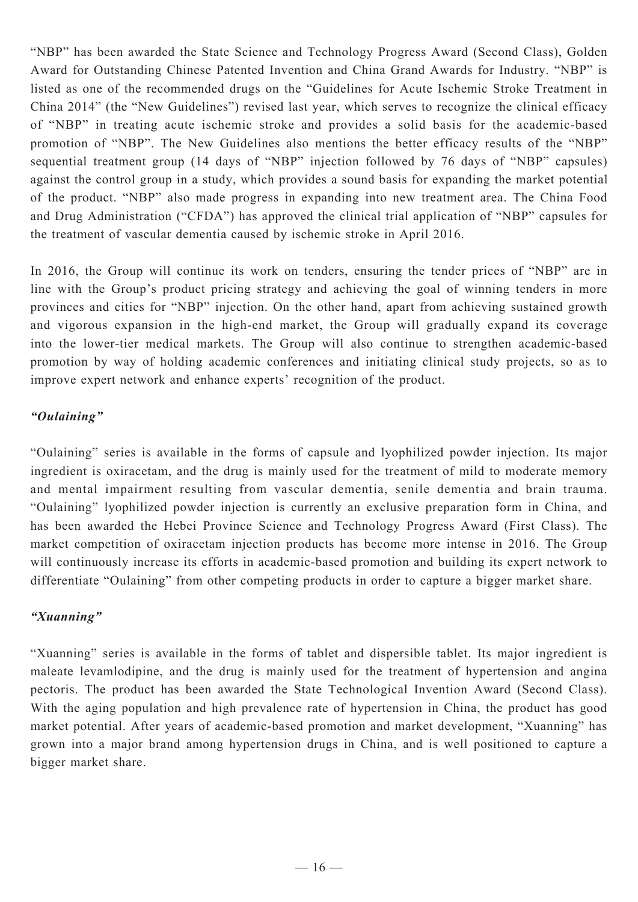"NBP" has been awarded the State Science and Technology Progress Award (Second Class), Golden Award for Outstanding Chinese Patented Invention and China Grand Awards for Industry. "NBP" is listed as one of the recommended drugs on the "Guidelines for Acute Ischemic Stroke Treatment in China 2014" (the "New Guidelines") revised last year, which serves to recognize the clinical efficacy of "NBP" in treating acute ischemic stroke and provides a solid basis for the academic-based promotion of "NBP". The New Guidelines also mentions the better efficacy results of the "NBP" sequential treatment group (14 days of "NBP" injection followed by 76 days of "NBP" capsules) against the control group in a study, which provides a sound basis for expanding the market potential of the product. "NBP" also made progress in expanding into new treatment area. The China Food and Drug Administration ("CFDA") has approved the clinical trial application of "NBP" capsules for the treatment of vascular dementia caused by ischemic stroke in April 2016.

In 2016, the Group will continue its work on tenders, ensuring the tender prices of "NBP" are in line with the Group's product pricing strategy and achieving the goal of winning tenders in more provinces and cities for "NBP" injection. On the other hand, apart from achieving sustained growth and vigorous expansion in the high-end market, the Group will gradually expand its coverage into the lower-tier medical markets. The Group will also continue to strengthen academic-based promotion by way of holding academic conferences and initiating clinical study projects, so as to improve expert network and enhance experts' recognition of the product.

# *"Oulaining"*

"Oulaining" series is available in the forms of capsule and lyophilized powder injection. Its major ingredient is oxiracetam, and the drug is mainly used for the treatment of mild to moderate memory and mental impairment resulting from vascular dementia, senile dementia and brain trauma. "Oulaining" lyophilized powder injection is currently an exclusive preparation form in China, and has been awarded the Hebei Province Science and Technology Progress Award (First Class). The market competition of oxiracetam injection products has become more intense in 2016. The Group will continuously increase its efforts in academic-based promotion and building its expert network to differentiate "Oulaining" from other competing products in order to capture a bigger market share.

# *"Xuanning"*

"Xuanning" series is available in the forms of tablet and dispersible tablet. Its major ingredient is maleate levamlodipine, and the drug is mainly used for the treatment of hypertension and angina pectoris. The product has been awarded the State Technological Invention Award (Second Class). With the aging population and high prevalence rate of hypertension in China, the product has good market potential. After years of academic-based promotion and market development, "Xuanning" has grown into a major brand among hypertension drugs in China, and is well positioned to capture a bigger market share.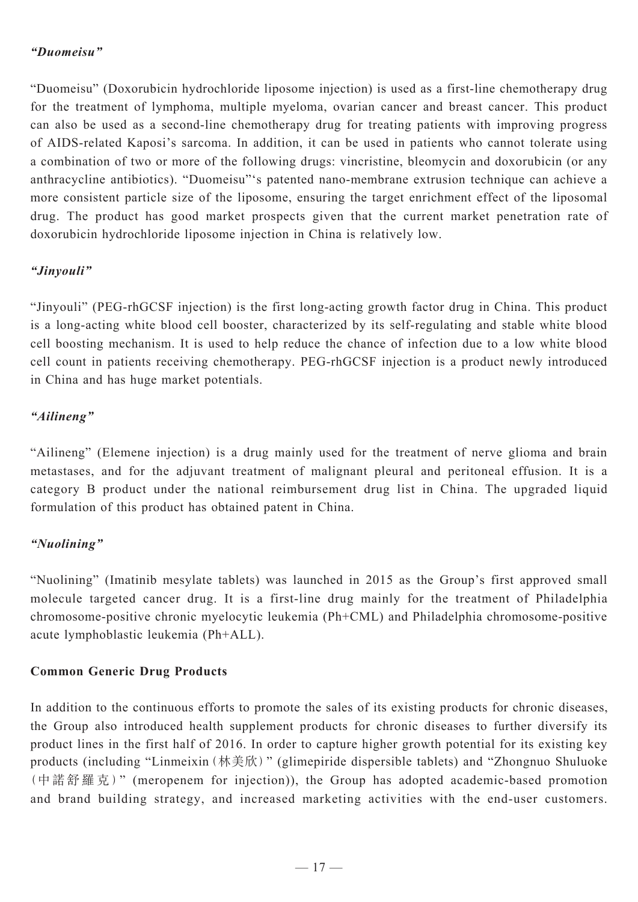# *"Duomeisu"*

"Duomeisu" (Doxorubicin hydrochloride liposome injection) is used as a first-line chemotherapy drug for the treatment of lymphoma, multiple myeloma, ovarian cancer and breast cancer. This product can also be used as a second-line chemotherapy drug for treating patients with improving progress of AIDS-related Kaposi's sarcoma. In addition, it can be used in patients who cannot tolerate using a combination of two or more of the following drugs: vincristine, bleomycin and doxorubicin (or any anthracycline antibiotics). "Duomeisu"'s patented nano-membrane extrusion technique can achieve a more consistent particle size of the liposome, ensuring the target enrichment effect of the liposomal drug. The product has good market prospects given that the current market penetration rate of doxorubicin hydrochloride liposome injection in China is relatively low.

# *"Jinyouli"*

"Jinyouli" (PEG-rhGCSF injection) is the first long-acting growth factor drug in China. This product is a long-acting white blood cell booster, characterized by its self-regulating and stable white blood cell boosting mechanism. It is used to help reduce the chance of infection due to a low white blood cell count in patients receiving chemotherapy. PEG-rhGCSF injection is a product newly introduced in China and has huge market potentials.

# *"Ailineng"*

"Ailineng" (Elemene injection) is a drug mainly used for the treatment of nerve glioma and brain metastases, and for the adjuvant treatment of malignant pleural and peritoneal effusion. It is a category B product under the national reimbursement drug list in China. The upgraded liquid formulation of this product has obtained patent in China.

# *"Nuolining"*

"Nuolining" (Imatinib mesylate tablets) was launched in 2015 as the Group's first approved small molecule targeted cancer drug. It is a first-line drug mainly for the treatment of Philadelphia chromosome-positive chronic myelocytic leukemia (Ph+CML) and Philadelphia chromosome-positive acute lymphoblastic leukemia (Ph+ALL).

# **Common Generic Drug Products**

In addition to the continuous efforts to promote the sales of its existing products for chronic diseases, the Group also introduced health supplement products for chronic diseases to further diversify its product lines in the first half of 2016. In order to capture higher growth potential for its existing key products (including "Linmeixin(林美欣)" (glimepiride dispersible tablets) and "Zhongnuo Shuluoke (中諾舒羅克)" (meropenem for injection)), the Group has adopted academic-based promotion and brand building strategy, and increased marketing activities with the end-user customers.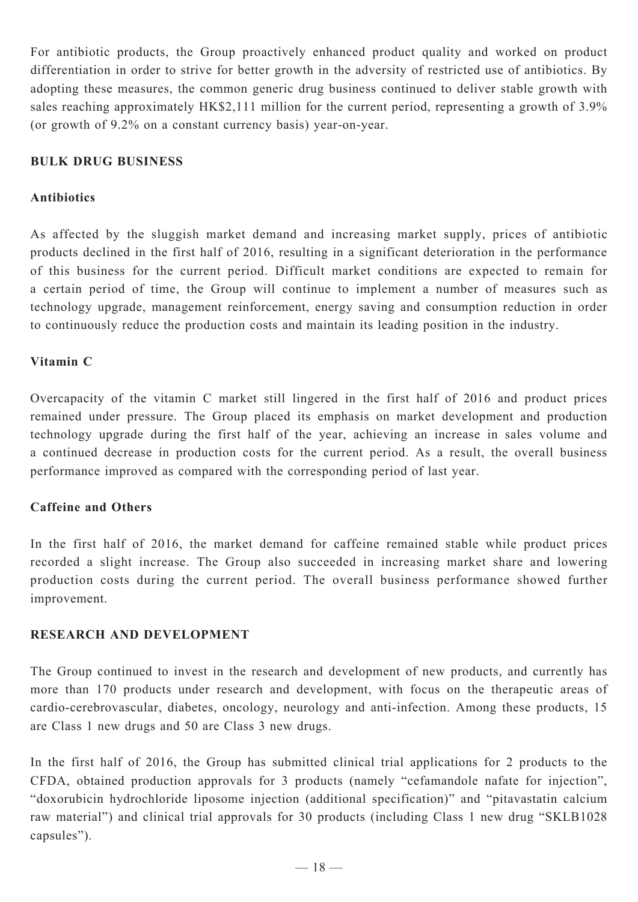For antibiotic products, the Group proactively enhanced product quality and worked on product differentiation in order to strive for better growth in the adversity of restricted use of antibiotics. By adopting these measures, the common generic drug business continued to deliver stable growth with sales reaching approximately HK\$2,111 million for the current period, representing a growth of 3.9% (or growth of 9.2% on a constant currency basis) year-on-year.

# **BULK DRUG BUSINESS**

# **Antibiotics**

As affected by the sluggish market demand and increasing market supply, prices of antibiotic products declined in the first half of 2016, resulting in a significant deterioration in the performance of this business for the current period. Difficult market conditions are expected to remain for a certain period of time, the Group will continue to implement a number of measures such as technology upgrade, management reinforcement, energy saving and consumption reduction in order to continuously reduce the production costs and maintain its leading position in the industry.

# **Vitamin C**

Overcapacity of the vitamin C market still lingered in the first half of 2016 and product prices remained under pressure. The Group placed its emphasis on market development and production technology upgrade during the first half of the year, achieving an increase in sales volume and a continued decrease in production costs for the current period. As a result, the overall business performance improved as compared with the corresponding period of last year.

# **Caffeine and Others**

In the first half of 2016, the market demand for caffeine remained stable while product prices recorded a slight increase. The Group also succeeded in increasing market share and lowering production costs during the current period. The overall business performance showed further improvement.

# **RESEARCH AND DEVELOPMENT**

The Group continued to invest in the research and development of new products, and currently has more than 170 products under research and development, with focus on the therapeutic areas of cardio-cerebrovascular, diabetes, oncology, neurology and anti-infection. Among these products, 15 are Class 1 new drugs and 50 are Class 3 new drugs.

In the first half of 2016, the Group has submitted clinical trial applications for 2 products to the CFDA, obtained production approvals for 3 products (namely "cefamandole nafate for injection", "doxorubicin hydrochloride liposome injection (additional specification)" and "pitavastatin calcium raw material") and clinical trial approvals for 30 products (including Class 1 new drug "SKLB1028 capsules").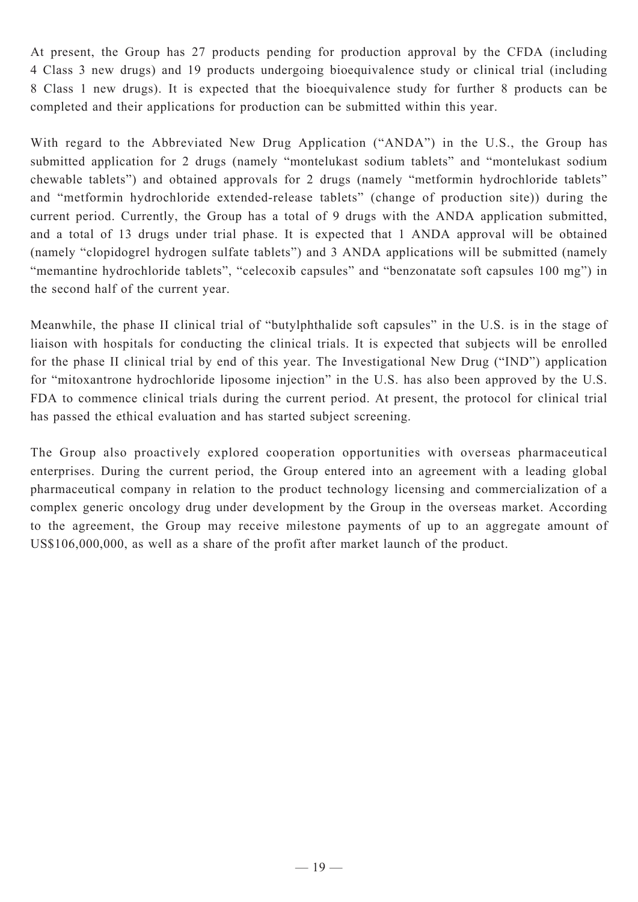At present, the Group has 27 products pending for production approval by the CFDA (including 4 Class 3 new drugs) and 19 products undergoing bioequivalence study or clinical trial (including 8 Class 1 new drugs). It is expected that the bioequivalence study for further 8 products can be completed and their applications for production can be submitted within this year.

With regard to the Abbreviated New Drug Application ("ANDA") in the U.S., the Group has submitted application for 2 drugs (namely "montelukast sodium tablets" and "montelukast sodium chewable tablets") and obtained approvals for 2 drugs (namely "metformin hydrochloride tablets" and "metformin hydrochloride extended-release tablets" (change of production site)) during the current period. Currently, the Group has a total of 9 drugs with the ANDA application submitted, and a total of 13 drugs under trial phase. It is expected that 1 ANDA approval will be obtained (namely "clopidogrel hydrogen sulfate tablets") and 3 ANDA applications will be submitted (namely "memantine hydrochloride tablets", "celecoxib capsules" and "benzonatate soft capsules 100 mg") in the second half of the current year.

Meanwhile, the phase II clinical trial of "butylphthalide soft capsules" in the U.S. is in the stage of liaison with hospitals for conducting the clinical trials. It is expected that subjects will be enrolled for the phase II clinical trial by end of this year. The Investigational New Drug ("IND") application for "mitoxantrone hydrochloride liposome injection" in the U.S. has also been approved by the U.S. FDA to commence clinical trials during the current period. At present, the protocol for clinical trial has passed the ethical evaluation and has started subject screening.

The Group also proactively explored cooperation opportunities with overseas pharmaceutical enterprises. During the current period, the Group entered into an agreement with a leading global pharmaceutical company in relation to the product technology licensing and commercialization of a complex generic oncology drug under development by the Group in the overseas market. According to the agreement, the Group may receive milestone payments of up to an aggregate amount of US\$106,000,000, as well as a share of the profit after market launch of the product.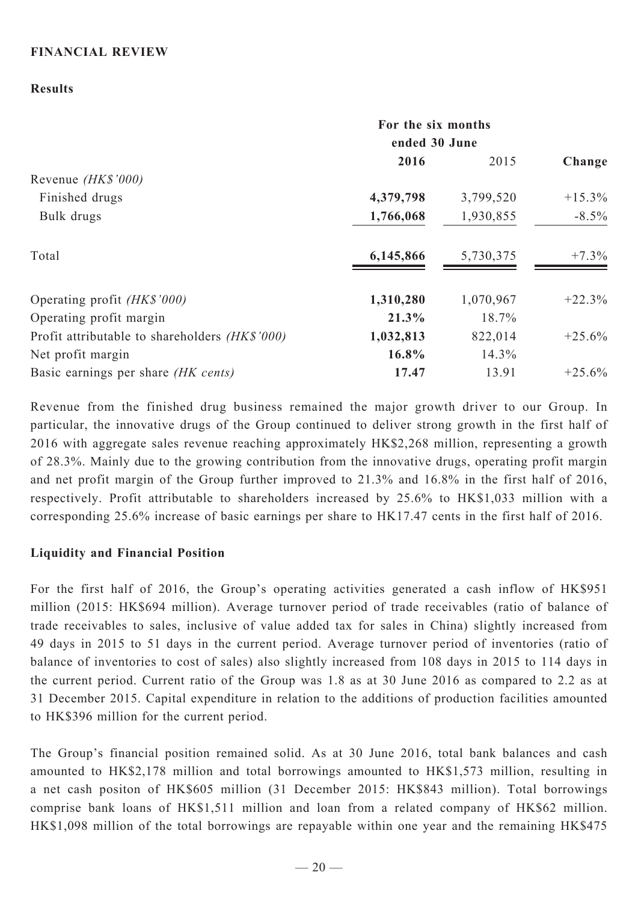# **FINANCIAL REVIEW**

# **Results**

|                                                | For the six months<br>ended 30 June |           |           |
|------------------------------------------------|-------------------------------------|-----------|-----------|
|                                                | 2016                                | 2015      | Change    |
| Revenue (HK\$'000)                             |                                     |           |           |
| Finished drugs                                 | 4,379,798                           | 3,799,520 | $+15.3\%$ |
| Bulk drugs                                     | 1,766,068                           | 1,930,855 | $-8.5\%$  |
| Total                                          | 6,145,866                           | 5,730,375 | $+7.3\%$  |
| Operating profit (HK\$'000)                    | 1,310,280                           | 1,070,967 | $+22.3%$  |
| Operating profit margin                        | 21.3%                               | 18.7%     |           |
| Profit attributable to shareholders (HK\$'000) | 1,032,813                           | 822,014   | $+25.6%$  |
| Net profit margin                              | 16.8%                               | 14.3%     |           |
| Basic earnings per share (HK cents)            | 17.47                               | 13.91     | $+25.6%$  |

Revenue from the finished drug business remained the major growth driver to our Group. In particular, the innovative drugs of the Group continued to deliver strong growth in the first half of 2016 with aggregate sales revenue reaching approximately HK\$2,268 million, representing a growth of 28.3%. Mainly due to the growing contribution from the innovative drugs, operating profit margin and net profit margin of the Group further improved to 21.3% and 16.8% in the first half of 2016, respectively. Profit attributable to shareholders increased by 25.6% to HK\$1,033 million with a corresponding 25.6% increase of basic earnings per share to HK17.47 cents in the first half of 2016.

# **Liquidity and Financial Position**

For the first half of 2016, the Group's operating activities generated a cash inflow of HK\$951 million (2015: HK\$694 million). Average turnover period of trade receivables (ratio of balance of trade receivables to sales, inclusive of value added tax for sales in China) slightly increased from 49 days in 2015 to 51 days in the current period. Average turnover period of inventories (ratio of balance of inventories to cost of sales) also slightly increased from 108 days in 2015 to 114 days in the current period. Current ratio of the Group was 1.8 as at 30 June 2016 as compared to 2.2 as at 31 December 2015. Capital expenditure in relation to the additions of production facilities amounted to HK\$396 million for the current period.

The Group's financial position remained solid. As at 30 June 2016, total bank balances and cash amounted to HK\$2,178 million and total borrowings amounted to HK\$1,573 million, resulting in a net cash positon of HK\$605 million (31 December 2015: HK\$843 million). Total borrowings comprise bank loans of HK\$1,511 million and loan from a related company of HK\$62 million. HK\$1,098 million of the total borrowings are repayable within one year and the remaining HK\$475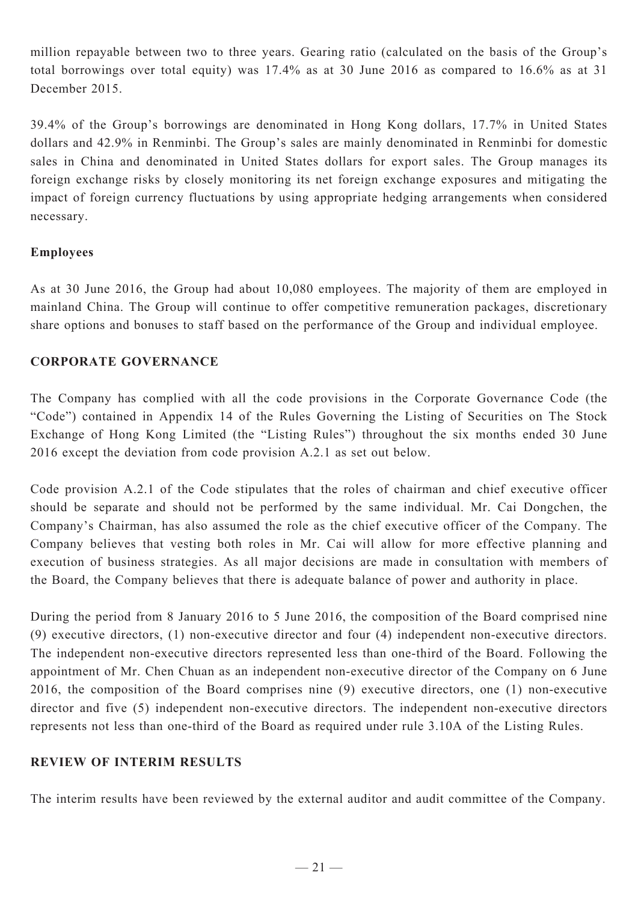million repayable between two to three years. Gearing ratio (calculated on the basis of the Group's total borrowings over total equity) was 17.4% as at 30 June 2016 as compared to 16.6% as at 31 December 2015.

39.4% of the Group's borrowings are denominated in Hong Kong dollars, 17.7% in United States dollars and 42.9% in Renminbi. The Group's sales are mainly denominated in Renminbi for domestic sales in China and denominated in United States dollars for export sales. The Group manages its foreign exchange risks by closely monitoring its net foreign exchange exposures and mitigating the impact of foreign currency fluctuations by using appropriate hedging arrangements when considered necessary.

# **Employees**

As at 30 June 2016, the Group had about 10,080 employees. The majority of them are employed in mainland China. The Group will continue to offer competitive remuneration packages, discretionary share options and bonuses to staff based on the performance of the Group and individual employee.

# **CORPORATE GOVERNANCE**

The Company has complied with all the code provisions in the Corporate Governance Code (the "Code") contained in Appendix 14 of the Rules Governing the Listing of Securities on The Stock Exchange of Hong Kong Limited (the "Listing Rules") throughout the six months ended 30 June 2016 except the deviation from code provision A.2.1 as set out below.

Code provision A.2.1 of the Code stipulates that the roles of chairman and chief executive officer should be separate and should not be performed by the same individual. Mr. Cai Dongchen, the Company's Chairman, has also assumed the role as the chief executive officer of the Company. The Company believes that vesting both roles in Mr. Cai will allow for more effective planning and execution of business strategies. As all major decisions are made in consultation with members of the Board, the Company believes that there is adequate balance of power and authority in place.

During the period from 8 January 2016 to 5 June 2016, the composition of the Board comprised nine (9) executive directors, (1) non-executive director and four (4) independent non-executive directors. The independent non-executive directors represented less than one-third of the Board. Following the appointment of Mr. Chen Chuan as an independent non-executive director of the Company on 6 June 2016, the composition of the Board comprises nine (9) executive directors, one (1) non-executive director and five (5) independent non-executive directors. The independent non-executive directors represents not less than one-third of the Board as required under rule 3.10A of the Listing Rules.

# **REVIEW OF INTERIM RESULTS**

The interim results have been reviewed by the external auditor and audit committee of the Company.